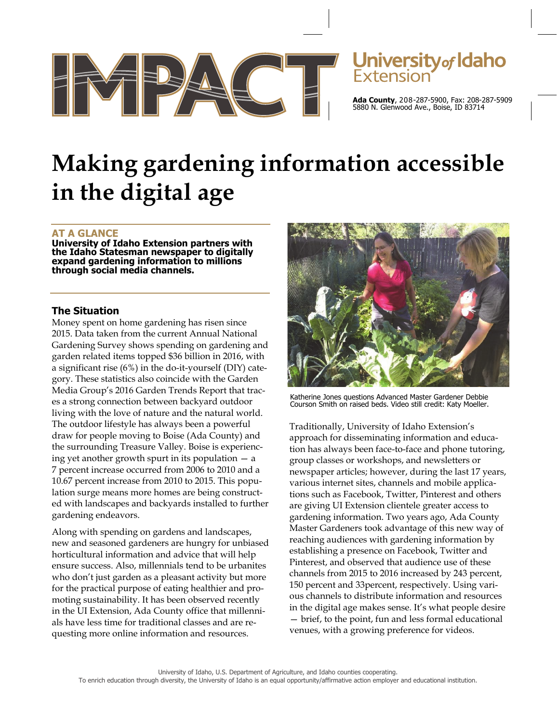

# Jniversity<sub>of</sub> Idaho

**Ada County**, 208-287-5900, Fax: 208-287-5909 5880 N. Glenwood Ave., Boise, ID 83714

# **Making gardening information accessible in the digital age**

# **AT A GLANCE**

**University of Idaho Extension partners with the Idaho Statesman newspaper to digitally expand gardening information to millions through social media channels.** 

# **The Situation**

Money spent on home gardening has risen since 2015. Data taken from the current Annual National Gardening Survey shows spending on gardening and garden related items topped \$36 billion in 2016, with a significant rise (6%) in the do-it-yourself (DIY) category. These statistics also coincide with the Garden Media Group's 2016 Garden Trends Report that traces a strong connection between backyard outdoor living with the love of nature and the natural world. The outdoor lifestyle has always been a powerful draw for people moving to Boise (Ada County) and the surrounding Treasure Valley. Boise is experiencing yet another growth spurt in its population — a 7 percent increase occurred from 2006 to 2010 and a 10.67 percent increase from 2010 to 2015. This population surge means more homes are being constructed with landscapes and backyards installed to further gardening endeavors.

Along with spending on gardens and landscapes, new and seasoned gardeners are hungry for unbiased horticultural information and advice that will help ensure success. Also, millennials tend to be urbanites who don't just garden as a pleasant activity but more for the practical purpose of eating healthier and promoting sustainability. It has been observed recently in the UI Extension, Ada County office that millennials have less time for traditional classes and are requesting more online information and resources.



Katherine Jones questions Advanced Master Gardener Debbie Courson Smith on raised beds. Video still credit: Katy Moeller.

Traditionally, University of Idaho Extension's approach for disseminating information and education has always been face-to-face and phone tutoring, group classes or workshops, and newsletters or newspaper articles; however, during the last 17 years, various internet sites, channels and mobile applications such as Facebook, Twitter, Pinterest and others are giving UI Extension clientele greater access to gardening information. Two years ago, Ada County Master Gardeners took advantage of this new way of reaching audiences with gardening information by establishing a presence on Facebook, Twitter and Pinterest, and observed that audience use of these channels from 2015 to 2016 increased by 243 percent, 150 percent and 33percent, respectively. Using various channels to distribute information and resources in the digital age makes sense. It's what people desire — brief, to the point, fun and less formal educational venues, with a growing preference for videos.